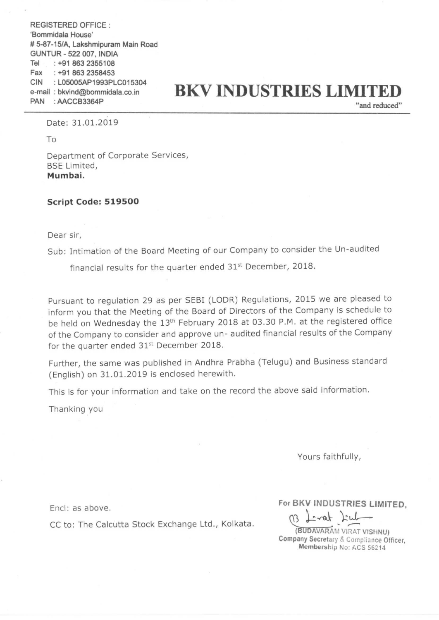REGISTERED OFFICE : 'Bommidala House' # 5-87-15/A, Lakshmipuram Main Road GUNTUR - 522 007, INDIA Tel Fax ClN : L05005AP1993PLC015304 : +91 863 2355108 : +91 863 2356453 PAN : AACCB3364P "and reduced"

## e-mail : bkvind@bommidala.co.in **BKV INDUSTRIES LIMITED**<br>PAN : AACCB3364P "and reduced"

Date: 31.01.2019

To

Department of Corporate Services, BSE Limited, Mumbai.

## Script Code: 519500

Dear sir,

Sub: Intimation of the Board Meeting of our Company to consider the Un-audited

financial results for the quarter ended  $31<sup>st</sup>$  December, 2018.

Pursuant to regulation <sup>29</sup> as per SEBI (LODR) Regulations, <sup>2015</sup> we are pleased to inform you that the Meeting of the Board of Directors of the Company is schedule to be held on Wednesday the 13<sup>th</sup> February 2018 at 03.30 P.M. at the registered office of the Company to consider and approve un- audited financial results of the Company for the quarter ended  $31<sup>st</sup>$  December 2018.

Further, the same was published in Andhra Prabha (Telugu) and Business standard (English) on 31.01.2019 is enclosed herewith.

This is for your information and take on the record the above said information.

Thanking you

Yours faithfully,

Encl: as above.

CC to: The Calcutta Stock Exchange Ltd., Kolkata. (B) Lavar Kul

For BKV INDUSTRIES LIMITED.

(BUDAVARAM VIRAT VISHNU) Company Secretary & Compliance Officer, Membership No: ACS 56214